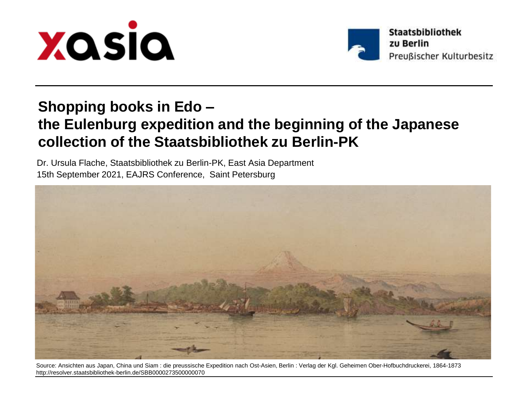



# **Shopping books in Edo – the Eulenburg expedition and the beginning of the Japanese collection of the Staatsbibliothek zu Berlin-PK**

Dr. Ursula Flache, Staatsbibliothek zu Berlin-PK, East Asia Department 15th September 2021, EAJRS Conference, Saint Petersburg



Source: Ansichten aus Japan, China und Siam : die preussische Expedition nach Ost-Asien, Berlin : Verlag der Kgl. Geheimen Ober-Hofbuchdruckerei, 1864-1873 http://resolver.staatsbibliothek-berlin.de/SBB0000273500000070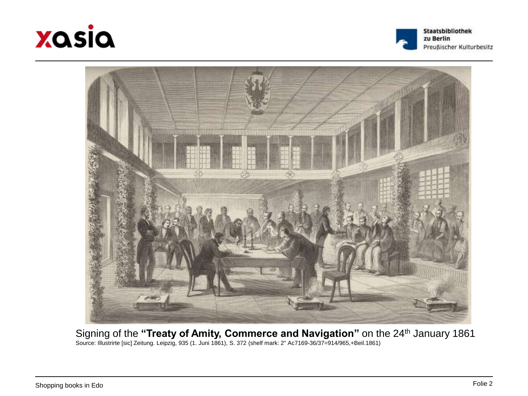





Signing of the "Treaty of Amity, Commerce and Navigation" on the 24<sup>th</sup> January 1861 Source: Illustrirte [sic] Zeitung. Leipzig, 935 (1. Juni 1861), S. 372 (shelf mark: 2" Ac7169-36/37=914/965,+Beil.1861)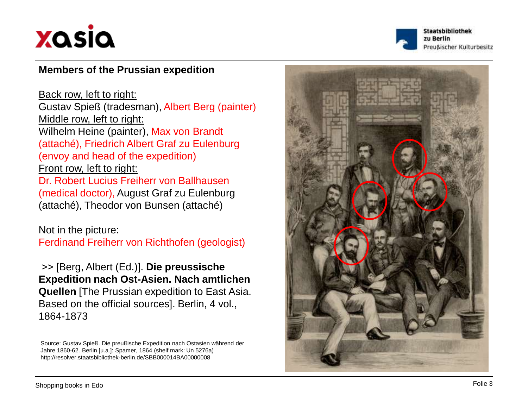



# **Members of the Prussian expedition**

Back row, left to right: Gustav Spieß (tradesman), Albert Berg (painter ) Middle row, left to right: Wilhelm Heine (painter), Max von Brandt<br>(attaché), Friedrich Albert Graf zu Eulenburg<br>(envoy and head of the expedition) Front row, left to right: Dr. Robert Lucius Freiherr von Ballhausen (medical doctor), August Graf zu Eulenburg (attaché), Theodor von Bunsen (attaché)

Not in the picture :

Ferdinand Freiherr von Richthofen (geologist)

>> [Berg, Albert (Ed.)]. **Die preussische Expedition nach Ost -Asien. Nach amtlichen Quellen** [The Prussian expedition to East Asia. Based on the official sources]. Berlin, 4 vol., 1864 -1873

Source: Gustav Spieß. Die preußische Expedition nach Ostasien während der Jahre 1860 -62. Berlin [u.a.]: Spamer, 1864 (shelf mark: Un 5276a ) http://resolver.staatsbibliothek -berlin.de/SBB000014BA00000008

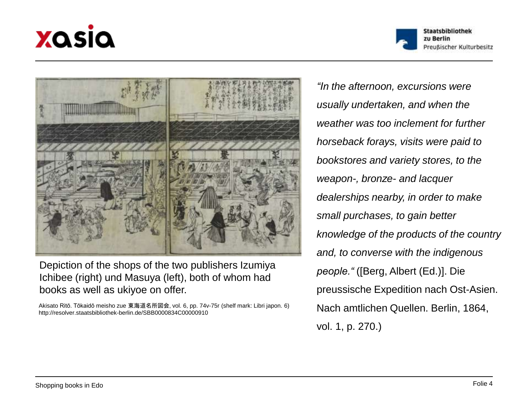





Depiction of the shops of the two publishers Izumiya Ichibee (right) und Masuya (left), both of whom had books as well as ukiyoe on offer.

Akisato Ritō. Tōkaidō meisho zue 東海道名所図会, vol. 6, pp. 74v-75r (shelf mark: Libri japon. 6) http://resolver.staatsbibliothek-berlin.de/SBB0000834C00000910

*"In the afternoon, excursions were usually undertaken, and when the weather was too inclement for further horseback forays, visits were paid to bookstores and variety stores, to the weapon-, bronze- and lacquer dealerships nearby, in order to make small purchases, to gain better knowledge of the products of the country and, to converse with the indigenous people."* ([Berg, Albert (Ed.)]. Die preussische Expedition nach Ost-Asien. Nach amtlichen Quellen. Berlin, 1864, vol. 1, p. 270.)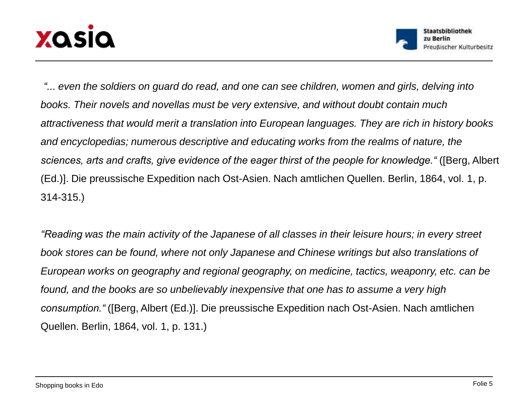



*"... even the soldiers on guard do read, and one can see children, women and girls, delving into books. Their novels and novellas must be very extensive, and without doubt contain much attractiveness that would merit a translation into European languages. They are rich in history books and encyclopedias; numerous descriptive and educating works from the realms of nature, the sciences, arts and crafts, give evidence of the eager thirst of the people for knowledge."* ([Berg, Albert (Ed.)]. Die preussische Expedition nach Ost-Asien. Nach amtlichen Quellen. Berlin, 1864, vol. 1, p. 314-315.)

*"Reading was the main activity of the Japanese of all classes in their leisure hours; in every street book stores can be found, where not only Japanese and Chinese writings but also translations of European works on geography and regional geography, on medicine, tactics, weaponry, etc. can be found, and the books are so unbelievably inexpensive that one has to assume a very high consumption."* ([Berg, Albert (Ed.)]. Die preussische Expedition nach Ost-Asien. Nach amtlichen Quellen. Berlin, 1864, vol. 1, p. 131.)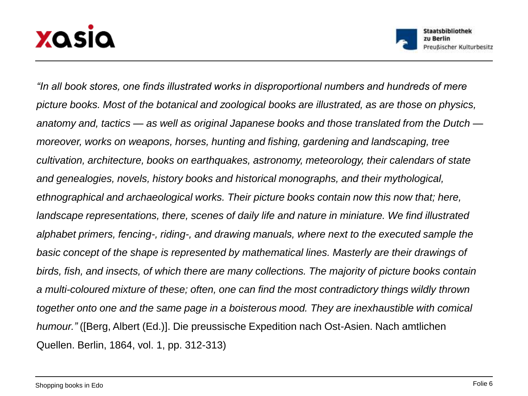



*"In all book stores, one finds illustrated works in disproportional numbers and hundreds of mere picture books. Most of the botanical and zoological books are illustrated, as are those on physics, anatomy and, tactics — as well as original Japanese books and those translated from the Dutch moreover, works on weapons, horses, hunting and fishing, gardening and landscaping, tree cultivation, architecture, books on earthquakes, astronomy, meteorology, their calendars of state and genealogies, novels, history books and historical monographs, and their mythological, ethnographical and archaeological works. Their picture books contain now this now that; here, landscape representations, there, scenes of daily life and nature in miniature. We find illustrated alphabet primers, fencing-, riding-, and drawing manuals, where next to the executed sample the basic concept of the shape is represented by mathematical lines. Masterly are their drawings of birds, fish, and insects, of which there are many collections. The majority of picture books contain a multi-coloured mixture of these; often, one can find the most contradictory things wildly thrown together onto one and the same page in a boisterous mood. They are inexhaustible with comical humour."* ([Berg, Albert (Ed.)]. Die preussische Expedition nach Ost-Asien. Nach amtlichen Quellen. Berlin, 1864, vol. 1, pp. 312-313)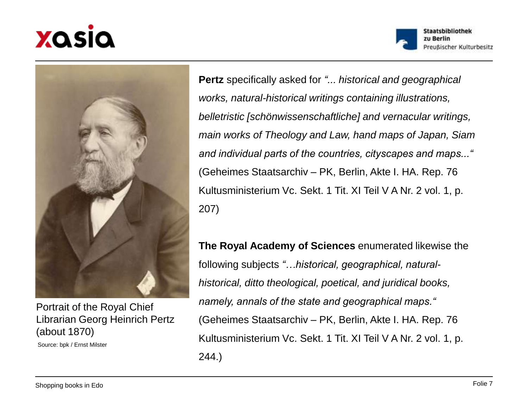





Portrait of the Royal Chief Librarian Georg Heinrich Pertz (about 1870)

Source: bpk / Ernst Milster

**Pertz** specifically asked for *"... historical and geographical works, natural-historical writings containing illustrations, belletristic [schönwissenschaftliche] and vernacular writings, main works of Theology and Law, hand maps of Japan, Siam and individual parts of the countries, cityscapes and maps..."*  (Geheimes Staatsarchiv – PK, Berlin, Akte I. HA. Rep. 76 Kultusministerium Vc. Sekt. 1 Tit. XI Teil V A Nr. 2 vol. 1, p. 207)

**The Royal Academy of Sciences** enumerated likewise the following subjects *"…historical, geographical, naturalhistorical, ditto theological, poetical, and juridical books, namely, annals of the state and geographical maps."*  (Geheimes Staatsarchiv – PK, Berlin, Akte I. HA. Rep. 76 Kultusministerium Vc. Sekt. 1 Tit. XI Teil V A Nr. 2 vol. 1, p. 244.)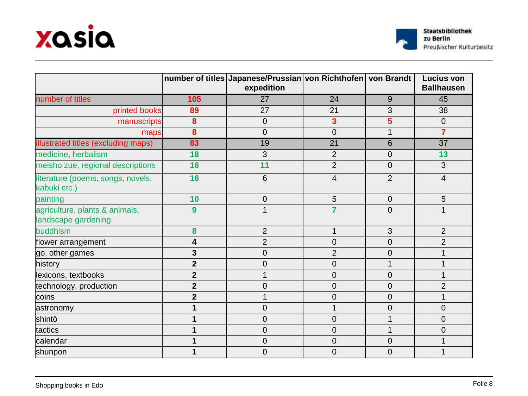



|                                                       |                | number of titles Japanese/Prussian von Richthofen von Brandt<br>expedition |                |                | <b>Lucius von</b><br><b>Ballhausen</b> |
|-------------------------------------------------------|----------------|----------------------------------------------------------------------------|----------------|----------------|----------------------------------------|
| number of titles                                      | 105            | 27                                                                         | 24             | $9\,$          | 45                                     |
| printed books                                         | 89             | 27                                                                         | 21             | 3              | 38                                     |
| manuscripts                                           | 8              | $\overline{0}$                                                             | 3              | 5              | $\overline{0}$                         |
| maps                                                  | 8              | $\overline{0}$                                                             | $\overline{0}$ | 1              | $\overline{7}$                         |
| illustrated titles (excluding maps)                   | 83             | 19                                                                         | 21             | 6              | 37                                     |
| medicine, herbalism                                   | 18             | 3                                                                          | $\overline{2}$ | 0              | 13                                     |
| meisho zue, regional descriptions                     | 16             | 11                                                                         | $\overline{2}$ | $\mathbf 0$    | 3                                      |
| literature (poems, songs, novels,<br>kabuki etc.)     | 16             | 6                                                                          | 4              | $\overline{2}$ | $\overline{4}$                         |
| painting                                              | 10             | $\overline{0}$                                                             | 5              | $\mathbf 0$    | 5                                      |
| agriculture, plants & animals,<br>landscape gardening | 9              | 1                                                                          | $\overline{7}$ | $\mathbf 0$    | 1                                      |
| buddhism                                              | 8              | $\overline{2}$                                                             | 1              | 3              | $\overline{2}$                         |
| flower arrangement                                    | 4              | $\overline{2}$                                                             | 0              | $\mathbf 0$    | $\overline{2}$                         |
| go, other games                                       | 3              | $\overline{0}$                                                             | $\overline{2}$ | 0              |                                        |
| history                                               | $\overline{2}$ | $\overline{0}$                                                             | 0              | 1              | $\mathbf 1$                            |
| lexicons, textbooks                                   | $\overline{2}$ | 1                                                                          | 0              | 0              |                                        |
| technology, production                                | $\overline{2}$ | $\overline{0}$                                                             | 0              | $\mathbf 0$    | $\overline{2}$                         |
| coins                                                 | $\overline{2}$ | 1                                                                          | 0              | 0              | 1                                      |
| astronomy                                             |                | $\overline{0}$                                                             | 1              | 0              | $\pmb{0}$                              |
| shintô                                                |                | 0                                                                          | 0              | 1              | 0                                      |
| tactics                                               |                | $\overline{0}$                                                             | 0              | 1              | 0                                      |
| calendar                                              |                | $\overline{0}$                                                             | 0              | $\mathbf 0$    |                                        |
| shunpon                                               |                | $\overline{0}$                                                             | 0              | $\overline{0}$ |                                        |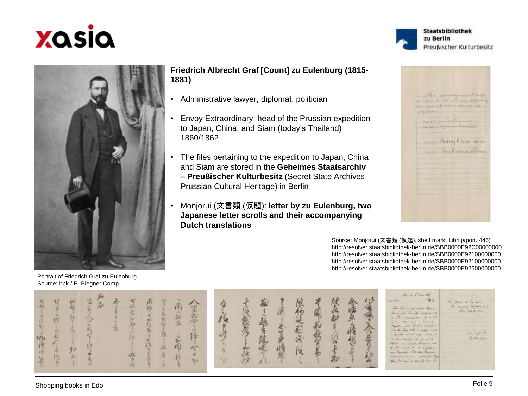





Portrait of Friedrich Graf zu Eulenburg Source: bpk / P. Biegner Comp.

**Friedrich Albrecht Graf [Count] zu Eulenburg (1815- 1881)**

- Administrative lawyer, diplomat, politician
- Envoy Extraordinary, head of the Prussian expedition to Japan, China, and Siam (today's Thailand) 1860/1862
	- The files pertaining to the expedition to Japan, China and Siam are stored in the **Geheimes Staatsarchiv – Preußischer Kulturbesitz** (Secret State Archives – Prussian Cultural Heritage) in Berlin
- Monjorui (文書類 (仮題): **letter by zu Eulenburg, two Japanese letter scrolls and their accompanying Dutch translations**



Source: Monjorui (文書類 (仮題), shelf mark: Libri japon. 446) http://resolver.staatsbibliothek-berlin.de/SBB0000E92C00000000 http://resolver.staatsbibliothek-berlin.de/SBB0000E92100000000 http://resolver.staatsbibliothek-berlin.de/SBB0000E92100000000 http://resolver.staatsbibliothek-berlin.de/SBB0000E92600000000

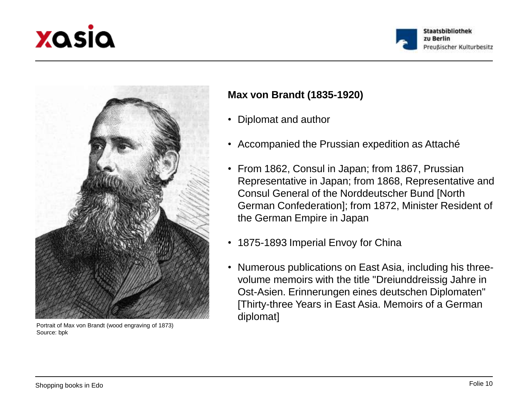





Portrait of Max von Brandt (wood engraving of 1873) Source: bpk

# **Max von Brandt (1835-1920)**

- Diplomat and author
- Accompanied the Prussian expedition as Attaché
- From 1862, Consul in Japan; from 1867, Prussian Representative in Japan; from 1868, Representative and Consul General of the Norddeutscher Bund [North German Confederation]; from 1872, Minister Resident of the German Empire in Japan
- 1875-1893 Imperial Envoy for China
- Numerous publications on East Asia, including his threevolume memoirs with the title "Dreiunddreissig Jahre in Ost-Asien. Erinnerungen eines deutschen Diplomaten" [Thirty-three Years in East Asia. Memoirs of a German diplomat]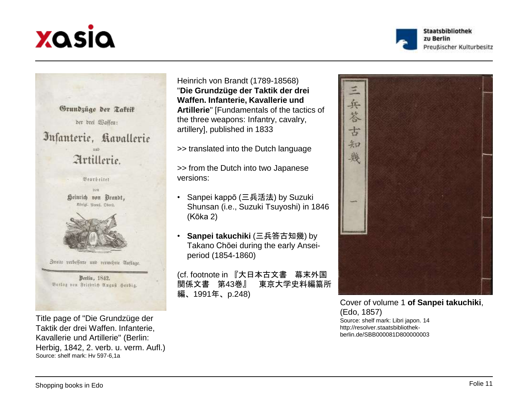





Breite verbefferte und vermehrte Auflage.



Title page of "Die Grundzüge der Taktik der drei Waffen. Infanterie, Kavallerie und Artillerie" (Berlin: Herbig, 1842, 2. verb. u. verm. Aufl.) Source: shelf mark: Hv 597-6,1a

Heinrich von Brandt (1789-18568) "**Die Grundzüge der Taktik der drei Waffen. Infanterie, Kavallerie und Artillerie**" [Fundamentals of the tactics of the three weapons: Infantry, cavalry, artillery], published in 1833

>> translated into the Dutch language

>> from the Dutch into two Japanese versions:

- Sanpei kappō (三兵活法) by Suzuki Shunsan (i.e., Suzuki Tsuyoshi) in 1846 (Kōka 2)
- **Sanpei takuchiki** (三兵答古知幾) by Takano Chōei during the early Anseiperiod (1854-1860)

(cf. footnote in 『大日本古文書 幕末外国 関係文書 第43巻』 東京大学史料編纂所 編、1991年、p.248)



Cover of volume 1 **of Sanpei takuchiki**, (Edo, 1857) Source: shelf mark: Libri japon. 14 http://resolver.staatsbibliothekberlin.de/SBB000081D800000003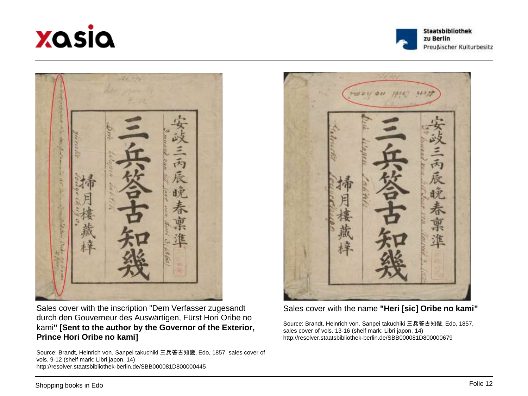





Sales cover with the inscription "Dem Verfasser zugesandt durch den Gouverneur des Auswärtigen, Fürst Hori Oribe no kami**" [Sent to the author by the Governor of the Exterior, Prince Hori Oribe no kami]**

Source: Brandt, Heinrich von. Sanpei takuchiki 三兵答古知幾, Edo, 1857, sales cover of vols. 9-12 (shelf mark: Libri japon. 14) http://resolver.staatsbibliothek-berlin.de/SBB000081D800000445



Sales cover with the name **"Heri [sic] Oribe no kami"**

Source: Brandt, Heinrich von. Sanpei takuchiki 三兵答古知幾, Edo, 1857, sales cover of vols. 13-16 (shelf mark: Libri japon. 14) http://resolver.staatsbibliothek-berlin.de/SBB000081D800000679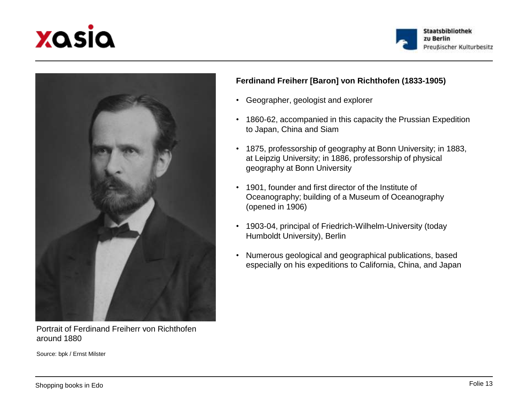





Portrait of Ferdinand Freiherr von Richthofen around 1880

Source: bpk / Ernst Milster

#### **Ferdinand Freiherr [Baron] von Richthofen (1833-1905)**

- Geographer, geologist and explorer
- 1860-62, accompanied in this capacity the Prussian Expedition to Japan, China and Siam
- 1875, professorship of geography at Bonn University; in 1883, at Leipzig University; in 1886, professorship of physical geography at Bonn University
- 1901, founder and first director of the Institute of Oceanography; building of a Museum of Oceanography (opened in 1906)
- 1903-04, principal of Friedrich-Wilhelm-University (today Humboldt University), Berlin
- Numerous geological and geographical publications, based especially on his expeditions to California, China, and Japan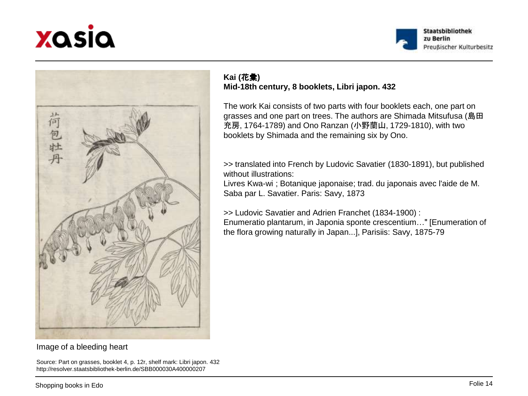





#### Image of a bleeding heart

Source: Part on grasses, booklet 4, p. 12r, shelf mark: Libri japon. 432 http://resolver.staatsbibliothek-berlin.de/SBB000030A400000207

#### **Kai (**花彙**) Mid-18th century, 8 booklets, Libri japon. 432**

The work Kai consists of two parts with four booklets each, one part on grasses and one part on trees. The authors are Shimada Mitsufusa (島田 充房, 1764-1789) and Ono Ranzan (小野蘭山, 1729-1810), with two booklets by Shimada and the remaining six by Ono.

>> translated into French by Ludovic Savatier (1830-1891), but published without illustrations:

Livres Kwa-wi ; Botanique japonaise; trad. du japonais avec l'aide de M. Saba par L. Savatier. Paris: Savy, 1873

>> Ludovic Savatier and Adrien Franchet (1834-1900) : Enumeratio plantarum, in Japonia sponte crescentium…" [Enumeration of the flora growing naturally in Japan...], Parisiis: Savy, 1875-79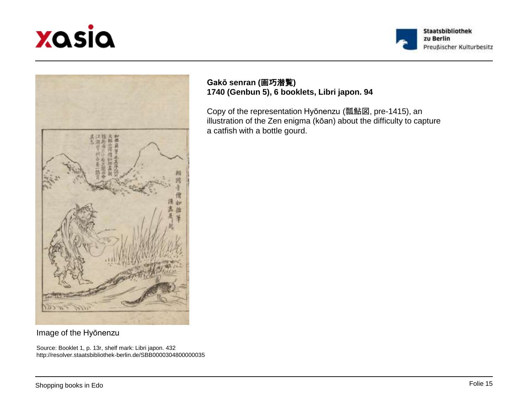





#### **Gakō senran (**画巧潜覧**) 1740 (Genbun 5), 6 booklets, Libri japon. 94**

Copy of the representation Hyōnenzu (瓢鮎図, pre-1415), an illustration of the Zen enigma (kōan) about the difficulty to capture a catfish with a bottle gourd.

#### Image of the Hyōnenzu

Source: Booklet 1, p. 13r, shelf mark: Libri japon. 432 http://resolver.staatsbibliothek-berlin.de/SBB0000304800000035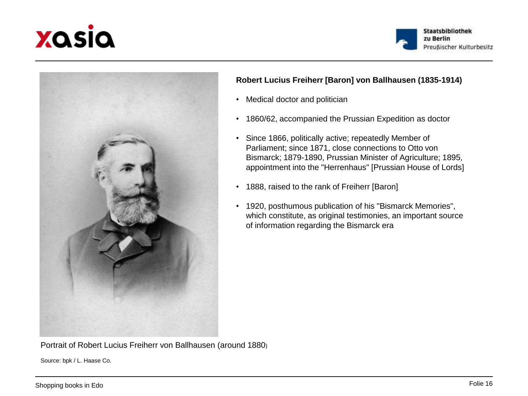





Portrait of Robert Lucius Freiherr von Ballhausen (around 1880)

Source: bpk / L. Haase Co.

#### **Robert Lucius Freiherr [Baron] von Ballhausen (1835-1914)**

- Medical doctor and politician
- 1860/62, accompanied the Prussian Expedition as doctor
- Since 1866, politically active; repeatedly Member of Parliament; since 1871, close connections to Otto von Bismarck; 1879-1890, Prussian Minister of Agriculture; 1895, appointment into the "Herrenhaus" [Prussian House of Lords]
- 1888, raised to the rank of Freiherr [Baron]
- 1920, posthumous publication of his "Bismarck Memories", which constitute, as original testimonies, an important source of information regarding the Bismarck era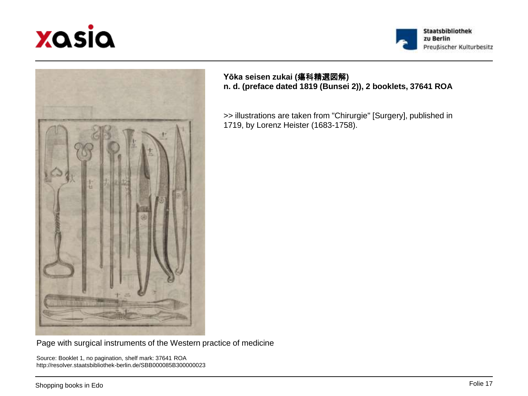





#### **Yōka seisen zukai (**瘍科精選図解**) n. d. (preface dated 1819 (Bunsei 2)), 2 booklets, 37641 ROA**

>> illustrations are taken from "Chirurgie" [Surgery], published in 1719, by Lorenz Heister (1683-1758).

Page with surgical instruments of the Western practice of medicine

Source: Booklet 1, no pagination, shelf mark: 37641 ROA http://resolver.staatsbibliothek-berlin.de/SBB000085B300000023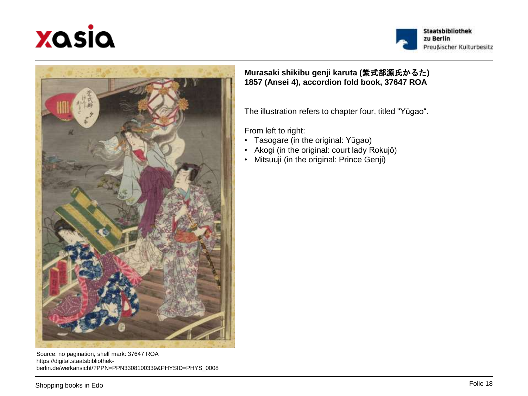





Source: no pagination, shelf mark: 37647 ROA https://digital.staatsbibliothekberlin.de/werkansicht/?PPN=PPN3308100339&PHYSID=PHYS\_0008

### **Murasaki shikibu genji karuta (**紫式部源氏かるた**) 1857 (Ansei 4), accordion fold book, 37647 ROA**

The illustration refers to chapter four, titled "Yūgao".

From left to right:

- Tasogare (in the original: Yūgao)
- Akogi (in the original: court lady Rokujō)
- Mitsuuji (in the original: Prince Genji)